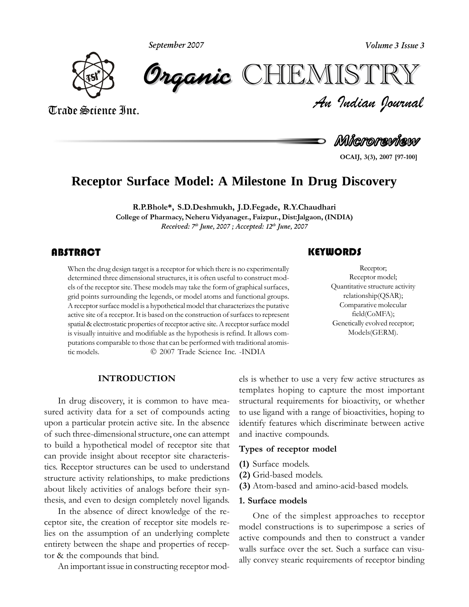**September 2007**



*Volume 3 Issue 3*<br> $\begin{array}{l} \blacksquare \begin{array}{l} \blacksquare \ \blacksquare \end{array} \end{array}$   $\begin{array}{l} \blacksquare \begin{array}{l} \blacksquare \end{array}$ CHEMISTRY

Trade Science Inc. Trade Science Inc.

**OCAIJ,**Microreview

**3(3), <sup>2007</sup> [97-100]**

## **Receptor Surface Model: A Milestone In Drug Discovery**

 **S.D.Deshmukh, J.D.Fegade, R.Y.Chaudhari College of Pharmacy, Neheru Vidyanager., Faizpur., Dist:Jalgaon, (INDIA) Received: 7 th June, 2007 ; Accepted: 12 th June, 2007**

#### ABSTRACT

When the drug design target is a receptor for which there is no experimentally determined three dimensional structures, it is often useful to construct models of the receptor site. These models may take the form of graphic determined three dimensional structures, it is often useful to construct models of the receptor site. These models may take the form of graphical surfaces, grid points surrounding the legends, or model atoms and functional groups.  $\alpha$  receptor surface model is a hypothetical model that characterizes the putative active site of a receptor. It is based on the construction of surfaces to represent active site of a receptor. It is based on the construction of surfaces to represent is visually intuitive and modifiable as the hypothesis is refind. It allows com-<br>is visually intuitive and modifiable as the hypothesis is refind. It allows comrisually intuitive and modifiable as the hypothesis is refind. It allows com-<br>
tations comparable to those that can be performed with traditional atomis-<br>
models.  $Q = 2007$  Trade Science Inc. -INDIA putations comparable to those that can be performed with traditional atomis-

## Receptor;

Receptor;<br>Receptor model;<br>Quantitative structure activity Receptor;<br>Receptor model: Receptor $relationship(QSAR);$ <br>Comparative molecular Comparative molecular field(CoMFA);<br>tically evolved receptor: field(CoMFA); Models(GERM).

tem<br>tem<br>In drug discovery, it is common to have mea- stru drug discovery, it is common to have mea-<br>activity data for a set of compounds acting to use sured activity data for a set of compounds acting to use<br>upon a particular protein active site. In the absence identi of such three-dimensional structure, one can attempt of such three-dimensional structure, one can attempt and<br>to build a hypothetical model of receptor site that to build a hypothetical model of receptor site that<br>can provide insight about receptor site characteris-Types<br>
can provide insight about receptor site characteris-<br>
tics. Receptor structures can be used to understand (1) Sur tics. Receptor structures can be used to understand  $(1)$  structure activity relationships, to make predictions  $(2)$ structure activity relationships, to make predictions<br>about likely activities of analogs before their synabout likely activities of analogs before their syn-<br>thesis, and even to design completely novel ligands.  $\sim$  1. thesis, and even to design completely novel ligands.

In the absence of direct knowledge of the receptor site, the creation of receptor site models re-<br>lies on the assumption of an underlying complete entirety between the shape and properties of recep-<br>entirety between the shape and properties of recepentirety between the shape and prop<br>tor & the compounds that bind. tor & the compounds that bind.<br>An important issue in constructing receptor mod-

 is whether to use <sup>a</sup> very few active structures as templates hoping to capture the most important templates hoping to capture the most important<br>structural requirements for bioactivity, or whether  $\frac{1}{2}$  is the structural requirements for bioactivity, or whether to use ligand with a range of bioactivities, hoping to It is used igand with a range of bioactivities, hoping to<br>identify features which discriminate between active identify features which discri-<br>and inactive compounds. and inactive compounds.

# **(1)** Surface models. **(2)**

- 
- (1) Surface models.<br>(2) Grid-based models.
- (2) Grid-based models.<br>**(3)** Atom-based and amino-acid-based models. **Surface models**

#### 1. Surface models

**1. Surface models**<br>One of the simplest approaches to receptor One of the simplest approaches to receptor<br>model constructions is to superimpose a series of<br>active compounds and then to construct a vander active compounds and then to construct a vander<br>walls surface over the set. Such a surface can visuwalls surface over the set. Such a surface can visually convey stearic requirements of receptor binding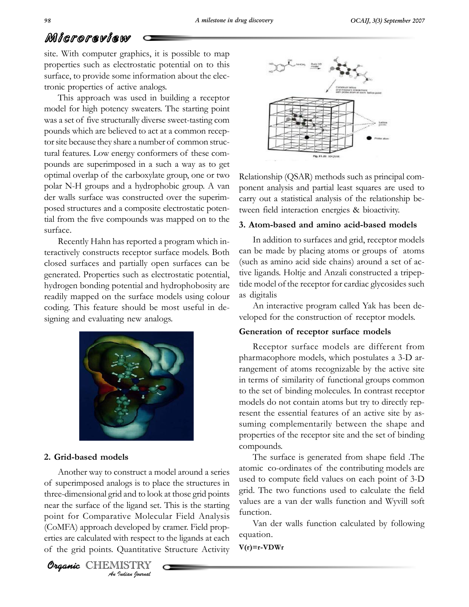## Microreview **Strate**

WIT CTOT CUTE W<br>
site. With computer graphics, it is possible to map<br>
properties such as electrostatic potential on to this properties such as electrostatic potential on to this surface, to provide some information about the electhe properties of active analogs.<br>
The properties of active analogs.

Francis, or proceed and the starting of active analogs.<br>
This approach was used in building a receptor<br>
model for high potency sweaters. The starting point model for high potency sweaters. The starting point<br>was a set of five structurally diverse sweet-tasting com was a set of five structurally diverse sweet-tasting compounds which are believed to act at a common recepto be cause they share a number of common struc-<br>tor site because they share a number of common structor site because they share a number of common structural features. Low energy conformers of these comtural features. Low energy conformers of these compounds are superimposed in a such a way as to get<br>optimal overlap of the carboxylate group, one or two Relation polar nearly present a large vector of the carboxylate group, one or two Relation<br>polar N-H groups and a hydrophobic group. A van polar N-H groups and a hydrophobic group. A van<br>der walls surface was constructed over the superimder walls surface was constructed over the superimthe five composite electrostatic potential from the five compounds was mapped on to the tial from the five compounds was mapped on to the surface.

3. Atom<br>
Recently Hahn has reported a program which in-<br>
teractively constructs receptor surface models. Both can be teractively constructs receptor surface models. Both can be<br>closed surfaces and partially open surfaces can be (such expressively process and partially open surfaces can be (see also denoted. Properties such as electrostatic potential, the generated. Properties such as electrostatic potential, hydrogen bonding potential and hydrophobosity are tide<br>readily mapped on the surface models using colour as c readily mapped on the surface models using colour as eding. This feature should be most useful in decoding. This feature should be most useful in designing and evaluating new analogs.



Organic CHEMISTRY

*An* **A** *C* **<b>***C C C I*<br>*I* ive Molecu<br>*Ieveloped by*<br>*Indian Journal*<br>*I Indian Journal* e**d models**<br>way to construct a model around a series aton Another way to construct a model around a series atomic<br>superimposed analogs is to place the structures in used to of superimposed analogs is to place the structures in used<br>three-dimensional grid and to look at those grid points three-dimensional grid and to look at those grid points grid.<br>near the surface of the ligand set. This is the starting values near the surface of the ligand set. This is the starting<br>point for Comparative Molecular Field Analysis point for Comparative Molecular Field Analysis fun<br>(CoMFA) approach developed by cramer. Field prop-(CoMFA) approach developed by cramer. Field propof the grid points. Quantitative Structure Activity<br>of the grid points. Quantitative Structure Activity



Relationship (OSAR) methods such as principal comanalysis and partial least squares are used to<br>analysis and partial least squares are used to ponent analysis and partial least squares are used to carry out a statistical analysis of the relationship bethe carry out a statistical analysis of the relationship l<br>tween field interaction energies & bioactivity. tween field interaction energies & bioactivity.

### 3. Atom-based and amino acid-based models **m-based and amino acid-based models**<br>addition to surfaces and grid, receptor models

In addition to surfaces and grid, receptor models<br>be made by placing atoms or groups of atoms  $\frac{1}{2}$  can be made by placing atoms or groups of atoms<br>(such as amino acid side chains) around a set of ac-(such as amino acid side chains) around a set of ac-<br>tive ligands. Holtie and Anzali constructed a tripeptive ligands. Holtje and Anzali constructed a tripeptide model of the receptor for cardiac glycosides such tide model of the i as digitalis

An interactive program called Yak has been de-An interactive program called Yak has been developed for the construction of receptor models. **of receptor surface models**

#### Generation of receptor surface models

Generation of receptor surface models<br>
Receptor surface models are different from<br>
pharmacophore models, which postulates a 3-D arpharmacophore models, which postulates a 3-D arreference of atoms recognizable by the active site<br>in terms of similarity of functional groups common to the set of binding molecules. In contrast receptor to the set of binding molecules. In contrast receptor models do not contain atoms but try to directly repmodels do not contain atoms but try to directly represent the essential features of an active site by assuming complementarily between the shape and<br>properties of the receptor site and the set of binding properties of the receptor site and the set of binding compounds.

compounds.<br>The surface is generated from shape field .The<br>atomic co-ordinates of the contributing models are atomic co-ordinates of the contributing models are<br>used to compute field values on each point of 3-D used to compute field values on each point of 3-D<br>grid. The two functions used to calculate the field values are a van der walls function and Wyvill soft values are a van der walls function and Wyvill soft function. function.<br>
Van der walls function calculated by following

equation.

 $V(r) = r - VDWr$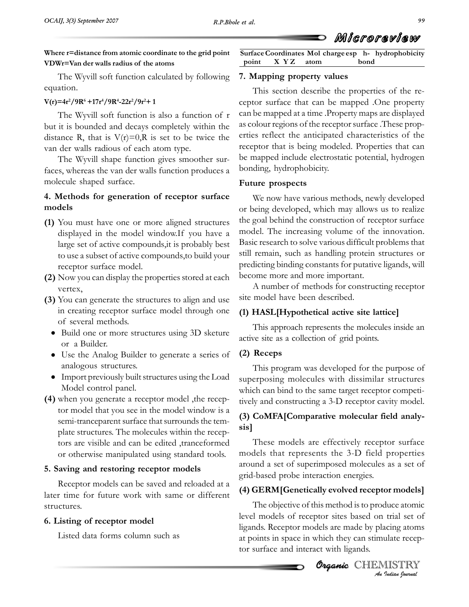**Surface**

# **r=distance from atomic coordinate to the grid point VDWr=Van derwalls radius of the atoms** TheVDWr=Van der walls radius of the atoms optimal point<br>The Wyvill soft function calculated by following 7. Ma

 **V(r)=4r2/9R6<sup>1</sup>**

## atıon.<br>**=4r²/9R**<sup>6</sup> +17r<sup>4</sup>/9R<sup>4</sup>-22r²/9r²+

 $9R^6 + 17r^4/9R^4 - 22r^2/9r^2 + 1$  cep<br>Wyvill soft function is also a function of r can The Wyvill soft function is also a function of  $r = \text{can} b$  it is bounded and decays completely within the as col but it is bounded and decays completely within the as coldistance R, that is  $V(r)=0$ . R is set to be twice the erties distance R, that is  $V(r)=0, R$  is set to be twice the van der walls radious of each atom type.  $\frac{1}{2}$  van der walls radious of each atom type.

e Wyvill shape function gives smoother sur-<br>whereas the van der walls function produces a faces, whereas the van der wa **Methods** for *generation* of *receptor* surface Futur<br>**4. Methods for** *generation* of *receptor* surface W/

# models

- dels<br>
You must have one or more aligned structures the g<br>
displayed in the model window.If you have a model displayed in the model window. If you have a  $\frac{mc}{}$ large set of active compounds, it is probably best<br>to use a subset of active compounds to build your to use a subset of active compressed to use a subset of active compression of  $\frac{1}{2}$ receptor surface model. predict<br>Now you can display the properties stored at each become
- vertex.
- A<br>
You can generate the structures to align and use site n<br>
in creating receptor surface model through one (1) of several methods.
	- of several methods.<br>
	 Build one or more structures using 3D sketure active<br>
	or a Builder.
	- or a Builder.<br>
	 Use the Analog Builder to generate a series of (2) analogous structures.
- Import previously built structures using the Load superp<br>
Model control panel.
- Workington and the model of the model window which<br>when you generate a receptor model ,the recep-<br>tor model that you see in the model window is a tor model that you see in the model window is a<br>semi-tranceparent surface that surrounds the tem-  $\qquad \qquad (3)$ semi-tranceparent surface that surrounds the template structures. The molecules within the recep-<br>tors are visible and can be edited .tranceformed Th tors are visible and can be edited ,tranceformed<br>or otherwise manipulated using standard tools. or otherwise manipulated using standard tools.

### 5. Saving and restoring receptor models

5. Saving and restoring receptor models<br>
Receptor models can be saved and reloaded at a<br>
later time for future work with same or different  $(4)$  G later time for future work with same or different structures. uctures.<br>**Listing of receptor model** 

Listed data forms column such as

 $point$ **Mapping property** values **point X Y Z atom c** *and atom* **c** *a***<sub><b>c**</sub> *a coint* **X Y Z atom bond** X Y Z bond

**Mol**

**Coordinates**

7. Mapping property values<br>This section describe the properties of the res section describe the properties of the re-<br>surface that can be mapped .One property ceptor surface that can be mapped .One property<br>can be mapped at a time .Property maps are displayed  $\frac{1}{2}$  can be mapped at a time. Property maps are displayed<br>as colour regions of the receptor surface. These propas colour regions of the receptor surface. These properties reflect the anticipated characteristics of the receptor that is being modeled. Properties that can receptor that is being modeled. Properties that can<br>be mapped include electrostatic potential, hydrogen be mapped include electrosta<br>bonding, hydrophobicity. bonding, hydrophobicity.

#### Future prospects

prospects<br>now have various methods, newly developed We now have various methods, newly developed<br>being developed, which may allows us to realize or being developed, which may allows us to realize<br>the goal behind the construction of receptor surface the goal behind the construction of receptor surface<br>model. The increasing volume of the innovation. model. The increasing volume of the innovation. Basic research to solve various difficult problems that<br>still remain, such as handling protein structures or still remain, such as handling protein structures or<br>predicting binding constants for putative ligands, will become more and more important. number of methods for constructing receptor become more and more important.

A number of methods for constructive model have been described.

# **HASL[Hypothetical active site lattice]** This approach represents the molecules inside an

This approach represents the molecules inside an This approach represents the molecules active site as a collection of grid points. **Receps**

### $(2)$  Receps

(2) Receps<br>This program was developed for the purpose of<br>superposing molecules with dissimilar structures superposing molecules with dissimilar structures<br>which can bind to the same target receptor competiwhich can bind to the same target receptor competitively and constructing a 3-D receptor cavity model.

# **Comparatively** and constructing a 3-D receptor cavity model.<br> **(3) CoMFA[Comparative molecular field analy-**

 models are effectively receptor surface models that represents the 3-D field properties models that represents the 3-D field properties<br>around a set of superimposed molecules as a set of around a set of superimposed molecules as a set of grid-based probe interaction energies.

# **GERM[Genetically evolved receptor models]** The objective of this method isto produce atomic

**o** <u>organic method</u> is to pro Incorporate of this included is to produce atome<br>
Ievel models of receptor sites based on trial set of<br>
Igands. Receptor models are made by placing atoms<br>
at points in space in which they can stimulate recep-<br> **Organic** CH The objective of this method is to produce atomic<br>level models of receptor sites based on trial set of definitions. Receptor models are made by placing atoms<br>at points in space in which they can stimulate recepto surface and interact with ligands.<br>tor surface and interact with ligands.